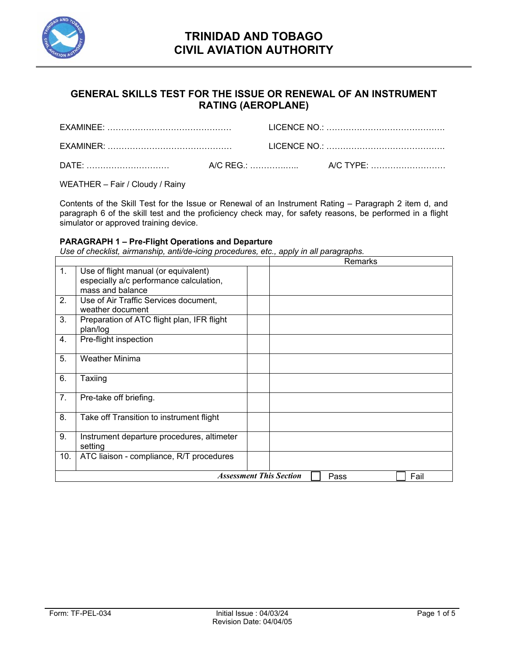

## **GENERAL SKILLS TEST FOR THE ISSUE OR RENEWAL OF AN INSTRUMENT RATING (AEROPLANE)**

WEATHER – Fair / Cloudy / Rainy

Contents of the Skill Test for the Issue or Renewal of an Instrument Rating – Paragraph 2 item d, and paragraph 6 of the skill test and the proficiency check may, for safety reasons, be performed in a flight simulator or approved training device.

### **PARAGRAPH 1 – Pre-Flight Operations and Departure**

*Use of checklist, airmanship, anti/de-icing procedures, etc., apply in all paragraphs.* 

|     |                                            |                                | Remarks |      |  |
|-----|--------------------------------------------|--------------------------------|---------|------|--|
| 1.  | Use of flight manual (or equivalent)       |                                |         |      |  |
|     | especially a/c performance calculation,    |                                |         |      |  |
|     | mass and balance                           |                                |         |      |  |
| 2.  | Use of Air Traffic Services document,      |                                |         |      |  |
|     | weather document                           |                                |         |      |  |
| 3.  | Preparation of ATC flight plan, IFR flight |                                |         |      |  |
|     | plan/log                                   |                                |         |      |  |
| 4.  | Pre-flight inspection                      |                                |         |      |  |
| 5.  | <b>Weather Minima</b>                      |                                |         |      |  |
|     |                                            |                                |         |      |  |
| 6.  | Taxiing                                    |                                |         |      |  |
| 7.  | Pre-take off briefing.                     |                                |         |      |  |
|     |                                            |                                |         |      |  |
| 8.  | Take off Transition to instrument flight   |                                |         |      |  |
| 9.  | Instrument departure procedures, altimeter |                                |         |      |  |
|     | setting                                    |                                |         |      |  |
| 10. | ATC liaison - compliance, R/T procedures   |                                |         |      |  |
|     |                                            | <b>Assessment This Section</b> | Pass    | Fail |  |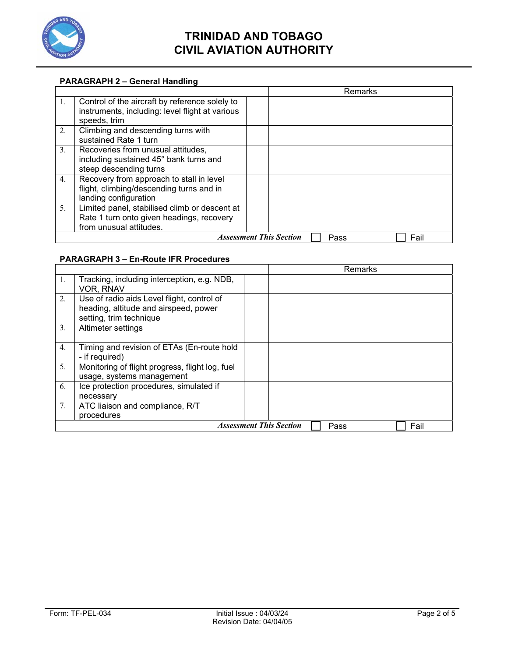

# **TRINIDAD AND TOBAGO CIVIL AVIATION AUTHORITY**

### **PARAGRAPH 2 – General Handling**

|                |                                                                                                                       |                                | Remarks |      |  |
|----------------|-----------------------------------------------------------------------------------------------------------------------|--------------------------------|---------|------|--|
| $1_{\cdot}$    | Control of the aircraft by reference solely to<br>instruments, including: level flight at various<br>speeds, trim     |                                |         |      |  |
| 2.             | Climbing and descending turns with<br>sustained Rate 1 turn                                                           |                                |         |      |  |
| 3 <sub>1</sub> | Recoveries from unusual attitudes,<br>including sustained 45° bank turns and<br>steep descending turns                |                                |         |      |  |
| 4 <sub>1</sub> | Recovery from approach to stall in level<br>flight, climbing/descending turns and in<br>landing configuration         |                                |         |      |  |
| 5 <sub>1</sub> | Limited panel, stabilised climb or descent at<br>Rate 1 turn onto given headings, recovery<br>from unusual attitudes. |                                |         |      |  |
|                |                                                                                                                       | <b>Assessment This Section</b> | Pass    | Fail |  |

### **PARAGRAPH 3 – En-Route IFR Procedures**

|             |                                                                                                                |                                |      | <b>Remarks</b> |      |  |
|-------------|----------------------------------------------------------------------------------------------------------------|--------------------------------|------|----------------|------|--|
| $1_{\cdot}$ | Tracking, including interception, e.g. NDB,<br>VOR, RNAV                                                       |                                |      |                |      |  |
| 2.          | Use of radio aids Level flight, control of<br>heading, altitude and airspeed, power<br>setting, trim technique |                                |      |                |      |  |
| 3.          | Altimeter settings                                                                                             |                                |      |                |      |  |
| 4.          | Timing and revision of ETAs (En-route hold<br>- if required)                                                   |                                |      |                |      |  |
| 5.          | Monitoring of flight progress, flight log, fuel<br>usage, systems management                                   |                                |      |                |      |  |
| 6.          | Ice protection procedures, simulated if<br>necessary                                                           |                                |      |                |      |  |
| 7.          | ATC liaison and compliance, R/T<br>procedures                                                                  |                                |      |                |      |  |
|             |                                                                                                                | <b>Assessment This Section</b> | Pass |                | Fail |  |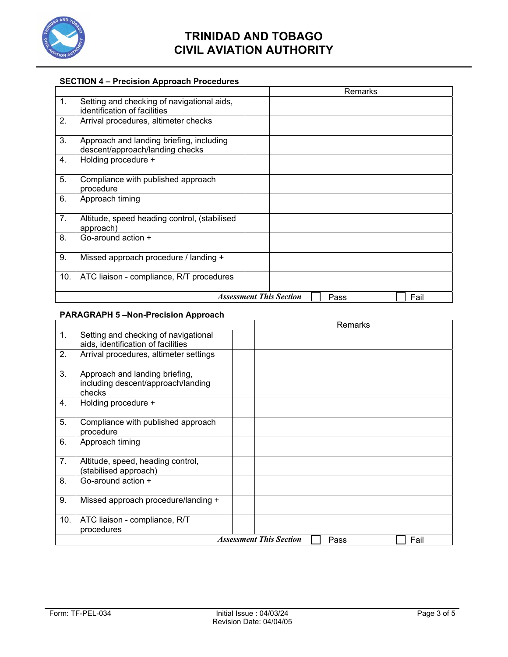

# **TRINIDAD AND TOBAGO CIVIL AVIATION AUTHORITY**

## **SECTION 4 – Precision Approach Procedures**

|                |                                                                             |                                |  | Remarks |      |
|----------------|-----------------------------------------------------------------------------|--------------------------------|--|---------|------|
| 1.             | Setting and checking of navigational aids,<br>identification of facilities  |                                |  |         |      |
| 2.             | Arrival procedures, altimeter checks                                        |                                |  |         |      |
| 3.             | Approach and landing briefing, including<br>descent/approach/landing checks |                                |  |         |      |
| 4.             | Holding procedure +                                                         |                                |  |         |      |
| 5.             | Compliance with published approach<br>procedure                             |                                |  |         |      |
| 6.             | Approach timing                                                             |                                |  |         |      |
| 7 <sub>1</sub> | Altitude, speed heading control, (stabilised<br>approach)                   |                                |  |         |      |
| 8.             | Go-around action $+$                                                        |                                |  |         |      |
| 9.             | Missed approach procedure / landing +                                       |                                |  |         |      |
| 10.            | ATC liaison - compliance, R/T procedures                                    |                                |  |         |      |
|                |                                                                             | <b>Assessment This Section</b> |  | Pass    | Fail |

## **PARAGRAPH 5 –Non-Precision Approach**

|     |                                                                                | Remarks                                        |
|-----|--------------------------------------------------------------------------------|------------------------------------------------|
| 1.  | Setting and checking of navigational<br>aids, identification of facilities     |                                                |
| 2.  | Arrival procedures, altimeter settings                                         |                                                |
| 3.  | Approach and landing briefing,<br>including descent/approach/landing<br>checks |                                                |
| 4.  | Holding procedure +                                                            |                                                |
| 5.  | Compliance with published approach<br>procedure                                |                                                |
| 6.  | Approach timing                                                                |                                                |
| 7.  | Altitude, speed, heading control,<br>(stabilised approach)                     |                                                |
| 8.  | Go-around action +                                                             |                                                |
| 9.  | Missed approach procedure/landing +                                            |                                                |
| 10. | ATC liaison - compliance, R/T<br>procedures                                    |                                                |
|     |                                                                                | <b>Assessment This Section</b><br>Fail<br>Pass |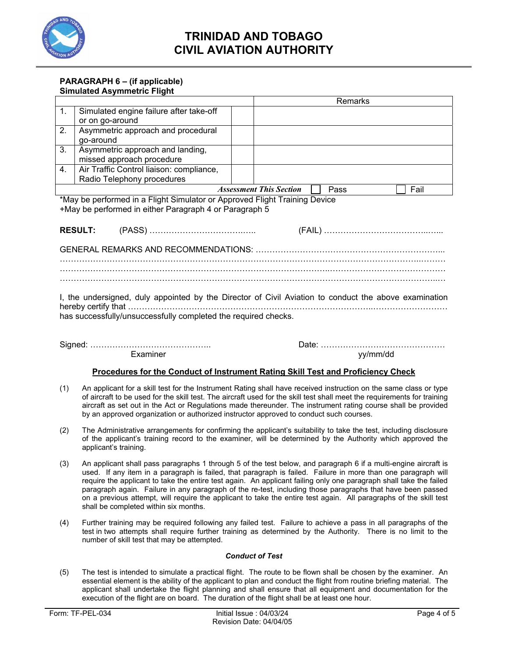

## **TRINIDAD AND TOBAGO CIVIL AVIATION AUTHORITY**

### **PARAGRAPH 6 – (if applicable) Simulated Asymmetric Flight**

|                                                                                                                                                                                                                                                                                                                                                                                                                                                                 |                                                                                                                                      |  | Remarks                                                                                               |  |  |
|-----------------------------------------------------------------------------------------------------------------------------------------------------------------------------------------------------------------------------------------------------------------------------------------------------------------------------------------------------------------------------------------------------------------------------------------------------------------|--------------------------------------------------------------------------------------------------------------------------------------|--|-------------------------------------------------------------------------------------------------------|--|--|
| $\mathbf{1}$ .                                                                                                                                                                                                                                                                                                                                                                                                                                                  | Simulated engine failure after take-off<br>or on go-around                                                                           |  |                                                                                                       |  |  |
| 2.                                                                                                                                                                                                                                                                                                                                                                                                                                                              | Asymmetric approach and procedural<br>go-around                                                                                      |  |                                                                                                       |  |  |
| $\overline{3}$ .                                                                                                                                                                                                                                                                                                                                                                                                                                                | Asymmetric approach and landing,<br>missed approach procedure                                                                        |  |                                                                                                       |  |  |
| 4.                                                                                                                                                                                                                                                                                                                                                                                                                                                              | Air Traffic Control liaison: compliance,<br>Radio Telephony procedures                                                               |  |                                                                                                       |  |  |
|                                                                                                                                                                                                                                                                                                                                                                                                                                                                 |                                                                                                                                      |  | <b>Assessment This Section</b><br>Pass<br>Fail                                                        |  |  |
|                                                                                                                                                                                                                                                                                                                                                                                                                                                                 | *May be performed in a Flight Simulator or Approved Flight Training Device<br>+May be performed in either Paragraph 4 or Paragraph 5 |  |                                                                                                       |  |  |
|                                                                                                                                                                                                                                                                                                                                                                                                                                                                 | <b>RESULT:</b>                                                                                                                       |  |                                                                                                       |  |  |
|                                                                                                                                                                                                                                                                                                                                                                                                                                                                 |                                                                                                                                      |  |                                                                                                       |  |  |
|                                                                                                                                                                                                                                                                                                                                                                                                                                                                 |                                                                                                                                      |  |                                                                                                       |  |  |
|                                                                                                                                                                                                                                                                                                                                                                                                                                                                 |                                                                                                                                      |  |                                                                                                       |  |  |
|                                                                                                                                                                                                                                                                                                                                                                                                                                                                 |                                                                                                                                      |  |                                                                                                       |  |  |
|                                                                                                                                                                                                                                                                                                                                                                                                                                                                 | has successfully/unsuccessfully completed the required checks.                                                                       |  | I, the undersigned, duly appointed by the Director of Civil Aviation to conduct the above examination |  |  |
|                                                                                                                                                                                                                                                                                                                                                                                                                                                                 | Examiner                                                                                                                             |  | yy/mm/dd                                                                                              |  |  |
| Procedures for the Conduct of Instrument Rating Skill Test and Proficiency Check                                                                                                                                                                                                                                                                                                                                                                                |                                                                                                                                      |  |                                                                                                       |  |  |
| An applicant for a skill test for the Instrument Rating shall have received instruction on the same class or type<br>(1)<br>of aircraft to be used for the skill test. The aircraft used for the skill test shall meet the requirements for training<br>aircraft as set out in the Act or Regulations made thereunder. The instrument rating course shall be provided<br>by an approved organization or authorized instructor approved to conduct such courses. |                                                                                                                                      |  |                                                                                                       |  |  |

- (2) The Administrative arrangements for confirming the applicant's suitability to take the test, including disclosure of the applicant's training record to the examiner, will be determined by the Authority which approved the applicant's training.
- (3) An applicant shall pass paragraphs 1 through 5 of the test below, and paragraph 6 if a multi-engine aircraft is used. If any item in a paragraph is failed, that paragraph is failed. Failure in more than one paragraph will require the applicant to take the entire test again. An applicant failing only one paragraph shall take the failed paragraph again. Failure in any paragraph of the re-test, including those paragraphs that have been passed on a previous attempt, will require the applicant to take the entire test again. All paragraphs of the skill test shall be completed within six months.
- (4) Further training may be required following any failed test. Failure to achieve a pass in all paragraphs of the test in two attempts shall require further training as determined by the Authority. There is no limit to the number of skill test that may be attempted.

#### *Conduct of Test*

(5) The test is intended to simulate a practical flight. The route to be flown shall be chosen by the examiner. An essential element is the ability of the applicant to plan and conduct the flight from routine briefing material. The applicant shall undertake the flight planning and shall ensure that all equipment and documentation for the execution of the flight are on board. The duration of the flight shall be at least one hour.